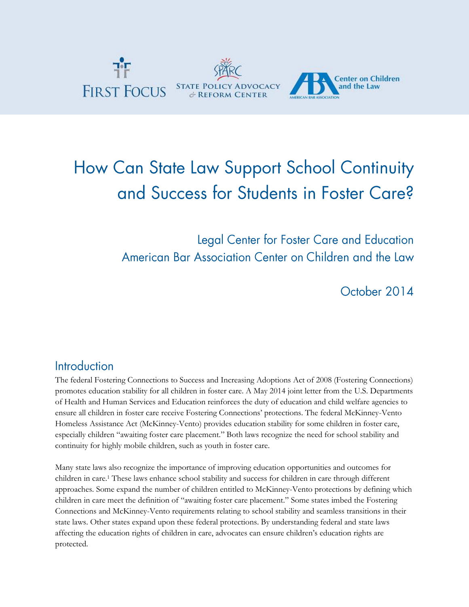

# How Can State Law Support School Continuity and Success for Students in Foster Care?

Legal Center for Foster Care and Education American Bar Association Center on Children and the Law

October 2014

#### Introduction

The federal Fostering Connections to Success and Increasing Adoptions Act of 2008 (Fostering Connections) promotes education stability for all children in foster care. A May 2014 joint letter from the U.S. Departments of Health and Human Services and Education reinforces the duty of education and child welfare agencies to ensure all children in foster care receive Fostering Connections' protections. The federal McKinney-Vento Homeless Assistance Act (McKinney-Vento) provides education stability for some children in foster care, especially children "awaiting foster care placement." Both laws recognize the need for school stability and continuity for highly mobile children, such as youth in foster care.

Many state laws also recognize the importance of improving education opportunities and outcomes for children in care.<sup>1</sup> These laws enhance school stability and success for children in care through different approaches. Some expand the number of children entitled to McKinney-Vento protections by defining which children in care meet the definition of "awaiting foster care placement." Some states imbed the Fostering Connections and McKinney-Vento requirements relating to school stability and seamless transitions in their state laws. Other states expand upon these federal protections. By understanding federal and state laws affecting the education rights of children in care, advocates can ensure children's education rights are protected.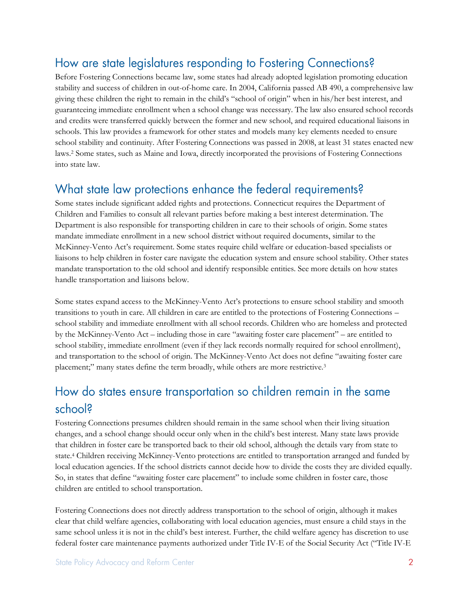### How are state legislatures responding to Fostering Connections?

Before Fostering Connections became law, some states had already adopted legislation promoting education stability and success of children in out-of-home care. In 2004, California passed AB 490, a comprehensive law giving these children the right to remain in the child's "school of origin" when in his/her best interest, and guaranteeing immediate enrollment when a school change was necessary. The law also ensured school records and credits were transferred quickly between the former and new school, and required educational liaisons in schools. This law provides a framework for other states and models many key elements needed to ensure school stability and continuity. After Fostering Connections was passed in 2008, at least 31 states enacted new laws.<sup>2</sup> Some states, such as Maine and Iowa, directly incorporated the provisions of Fostering Connections into state law.

### What state law protections enhance the federal requirements?

Some states include significant added rights and protections. Connecticut requires the Department of Children and Families to consult all relevant parties before making a best interest determination. The Department is also responsible for transporting children in care to their schools of origin. Some states mandate immediate enrollment in a new school district without required documents, similar to the McKinney-Vento Act's requirement. Some states require child welfare or education-based specialists or liaisons to help children in foster care navigate the education system and ensure school stability. Other states mandate transportation to the old school and identify responsible entities. See more details on how states handle transportation and liaisons below.

Some states expand access to the McKinney-Vento Act's protections to ensure school stability and smooth transitions to youth in care. All children in care are entitled to the protections of Fostering Connections – school stability and immediate enrollment with all school records. Children who are homeless and protected by the McKinney-Vento Act – including those in care "awaiting foster care placement" – are entitled to school stability, immediate enrollment (even if they lack records normally required for school enrollment), and transportation to the school of origin. The McKinney-Vento Act does not define "awaiting foster care placement;" many states define the term broadly, while others are more restrictive.<sup>3</sup>

### How do states ensure transportation so children remain in the same school?

Fostering Connections presumes children should remain in the same school when their living situation changes, and a school change should occur only when in the child's best interest. Many state laws provide that children in foster care be transported back to their old school, although the details vary from state to state.<sup>4</sup> Children receiving McKinney-Vento protections are entitled to transportation arranged and funded by local education agencies. If the school districts cannot decide how to divide the costs they are divided equally. So, in states that define "awaiting foster care placement" to include some children in foster care, those children are entitled to school transportation.

Fostering Connections does not directly address transportation to the school of origin, although it makes clear that child welfare agencies, collaborating with local education agencies, must ensure a child stays in the same school unless it is not in the child's best interest. Further, the child welfare agency has discretion to use federal foster care maintenance payments authorized under Title IV-E of the Social Security Act ("Title IV-E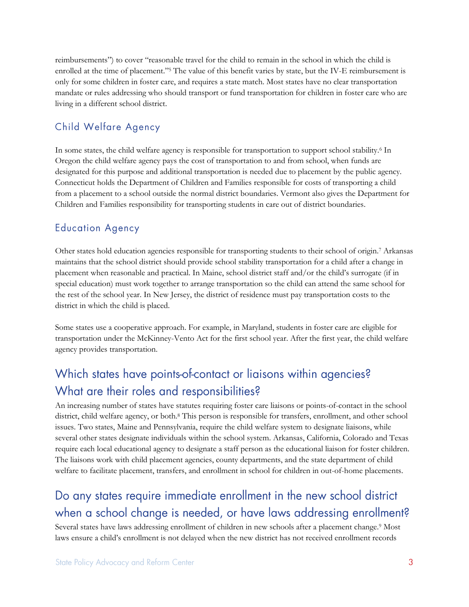reimbursements") to cover "reasonable travel for the child to remain in the school in which the child is enrolled at the time of placement."<sup>5</sup> The value of this benefit varies by state, but the IV-E reimbursement is only for some children in foster care, and requires a state match. Most states have no clear transportation mandate or rules addressing who should transport or fund transportation for children in foster care who are living in a different school district.

#### **Child Welfare Agency**

In some states, the child welfare agency is responsible for transportation to support school stability.<sup>6</sup> In Oregon the child welfare agency pays the cost of transportation to and from school, when funds are designated for this purpose and additional transportation is needed due to placement by the public agency. Connecticut holds the Department of Children and Families responsible for costs of transporting a child from a placement to a school outside the normal district boundaries. Vermont also gives the Department for Children and Families responsibility for transporting students in care out of district boundaries.

#### **Education Agency**

Other states hold education agencies responsible for transporting students to their school of origin.<sup>7</sup> Arkansas maintains that the school district should provide school stability transportation for a child after a change in placement when reasonable and practical. In Maine, school district staff and/or the child's surrogate (if in special education) must work together to arrange transportation so the child can attend the same school for the rest of the school year. In New Jersey, the district of residence must pay transportation costs to the district in which the child is placed.

Some states use a cooperative approach. For example, in Maryland, students in foster care are eligible for transportation under the McKinney-Vento Act for the first school year. After the first year, the child welfare agency provides transportation.

# Which states have points-of-contact or liaisons within agencies? What are their roles and responsibilities?

An increasing number of states have statutes requiring foster care liaisons or points-of-contact in the school district, child welfare agency, or both.<sup>8</sup> This person is responsible for transfers, enrollment, and other school issues. Two states, Maine and Pennsylvania, require the child welfare system to designate liaisons, while several other states designate individuals within the school system. Arkansas, California, Colorado and Texas require each local educational agency to designate a staff person as the educational liaison for foster children. The liaisons work with child placement agencies, county departments, and the state department of child welfare to facilitate placement, transfers, and enrollment in school for children in out-of-home placements.

# Do any states require immediate enrollment in the new school district when a school change is needed, or have laws addressing enrollment?

Several states have laws addressing enrollment of children in new schools after a placement change.<sup>9</sup> Most laws ensure a child's enrollment is not delayed when the new district has not received enrollment records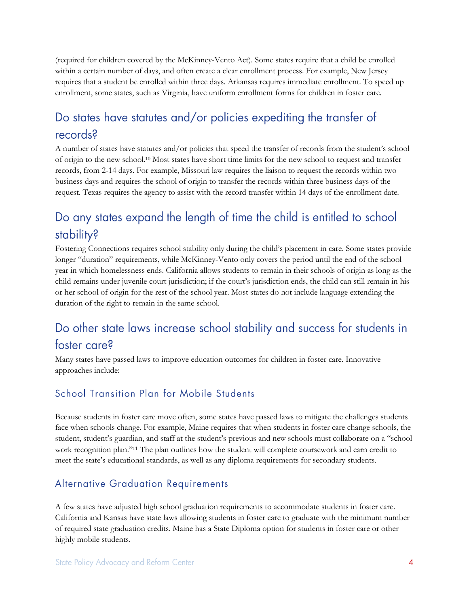(required for children covered by the McKinney-Vento Act). Some states require that a child be enrolled within a certain number of days, and often create a clear enrollment process. For example, New Jersey requires that a student be enrolled within three days. Arkansas requires immediate enrollment. To speed up enrollment, some states, such as Virginia, have uniform enrollment forms for children in foster care.

### Do states have statutes and/or policies expediting the transfer of records?

A number of states have statutes and/or policies that speed the transfer of records from the student's school of origin to the new school.<sup>10</sup> Most states have short time limits for the new school to request and transfer records, from 2-14 days. For example, Missouri law requires the liaison to request the records within two business days and requires the school of origin to transfer the records within three business days of the request. Texas requires the agency to assist with the record transfer within 14 days of the enrollment date.

# Do any states expand the length of time the child is entitled to school stability?

Fostering Connections requires school stability only during the child's placement in care. Some states provide longer "duration" requirements, while McKinney-Vento only covers the period until the end of the school year in which homelessness ends. California allows students to remain in their schools of origin as long as the child remains under juvenile court jurisdiction; if the court's jurisdiction ends, the child can still remain in his or her school of origin for the rest of the school year. Most states do not include language extending the duration of the right to remain in the same school.

### Do other state laws increase school stability and success for students in foster care?

Many states have passed laws to improve education outcomes for children in foster care. Innovative approaches include:

#### School Transition Plan for Mobile Students

Because students in foster care move often, some states have passed laws to mitigate the challenges students face when schools change. For example, Maine requires that when students in foster care change schools, the student, student's guardian, and staff at the student's previous and new schools must collaborate on a "school work recognition plan."<sup>11</sup> The plan outlines how the student will complete coursework and earn credit to meet the state's educational standards, as well as any diploma requirements for secondary students.

#### **Alternative Graduation Requirements**

A few states have adjusted high school graduation requirements to accommodate students in foster care. California and Kansas have state laws allowing students in foster care to graduate with the minimum number of required state graduation credits. Maine has a State Diploma option for students in foster care or other highly mobile students.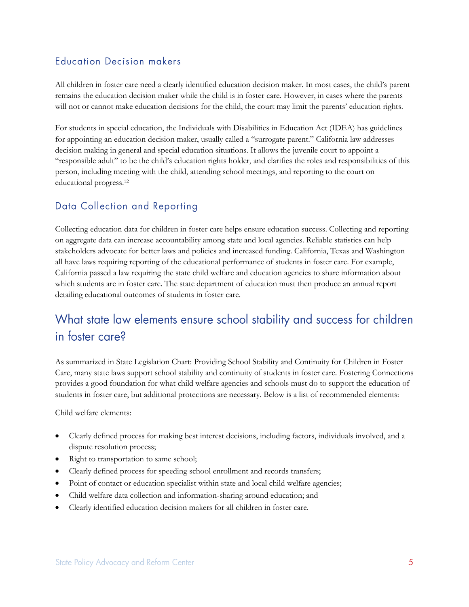#### **Education Decision makers**

All children in foster care need a clearly identified education decision maker. In most cases, the child's parent remains the education decision maker while the child is in foster care. However, in cases where the parents will not or cannot make education decisions for the child, the court may limit the parents' education rights.

For students in special education, the Individuals with Disabilities in Education Act (IDEA) has guidelines for appointing an education decision maker, usually called a "surrogate parent." California law addresses decision making in general and special education situations. It allows the juvenile court to appoint a "responsible adult" to be the child's education rights holder, and clarifies the roles and responsibilities of this person, including meeting with the child, attending school meetings, and reporting to the court on educational progress.<sup>12</sup>

#### Data Collection and Reporting

Collecting education data for children in foster care helps ensure education success. Collecting and reporting on aggregate data can increase accountability among state and local agencies. Reliable statistics can help stakeholders advocate for better laws and policies and increased funding. California, Texas and Washington all have laws requiring reporting of the educational performance of students in foster care. For example, California passed a law requiring the state child welfare and education agencies to share information about which students are in foster care. The state department of education must then produce an annual report detailing educational outcomes of students in foster care.

## What state law elements ensure school stability and success for children in foster care?

As summarized in State Legislation Chart: Providing School Stability and Continuity for Children in Foster Care, many state laws support school stability and continuity of students in foster care. Fostering Connections provides a good foundation for what child welfare agencies and schools must do to support the education of students in foster care, but additional protections are necessary. Below is a list of recommended elements:

Child welfare elements:

- Clearly defined process for making best interest decisions, including factors, individuals involved, and a dispute resolution process;
- Right to transportation to same school;
- Clearly defined process for speeding school enrollment and records transfers;
- Point of contact or education specialist within state and local child welfare agencies;
- Child welfare data collection and information-sharing around education; and
- Clearly identified education decision makers for all children in foster care.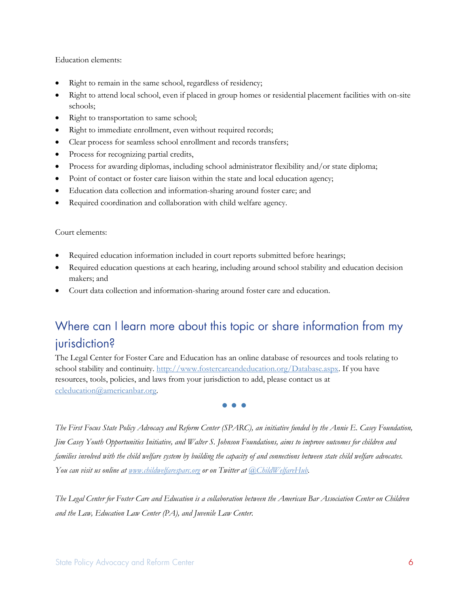Education elements:

- Right to remain in the same school, regardless of residency;
- Right to attend local school, even if placed in group homes or residential placement facilities with on-site schools;
- Right to transportation to same school;
- Right to immediate enrollment, even without required records;
- Clear process for seamless school enrollment and records transfers;
- Process for recognizing partial credits,
- Process for awarding diplomas, including school administrator flexibility and/or state diploma;
- Point of contact or foster care liaison within the state and local education agency;
- Education data collection and information-sharing around foster care; and
- Required coordination and collaboration with child welfare agency.

#### Court elements:

- Required education information included in court reports submitted before hearings;
- Required education questions at each hearing, including around school stability and education decision makers; and
- Court data collection and information-sharing around foster care and education.

## Where can I learn more about this topic or share information from my jurisdiction?

The Legal Center for Foster Care and Education has an online database of resources and tools relating to school stability and continuity. [http://www.fostercareandeducation.org/Database.aspx.](http://www.fostercareandeducation.org/Database.aspx) If you have resources, tools, policies, and laws from your jurisdiction to add, please contact us at [ccleducation@americanbar.org.](mailto:ccleducation@americanbar.org)

**• • •**

*The First Focus State Policy Advocacy and Reform Center (SPARC), an initiative funded by the Annie E. Casey Foundation, Jim Casey Youth Opportunities Initiative, and Walter S. Johnson Foundations, aims to improve outcomes for children and families involved with the child welfare system by building the capacity of and connections between state child welfare advocates. You can visit us online a[t www.childwelfaresparc.org](http://www.childwelfaresparc.org/) or on Twitter at [@ChildWelfareHub.](http://www.twitter.com/childwelfarehub)*

*The Legal Center for Foster Care and Education is a collaboration between the American Bar Association Center on Children and the Law, Education Law Center (PA), and Juvenile Law Center.*